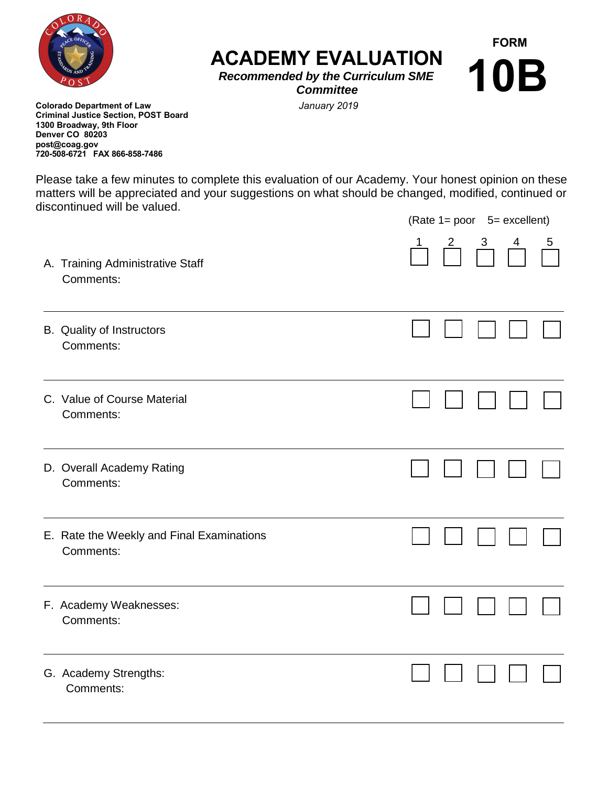

**ACADEMY EVALUATION** 

**FORM**

**10B**

*Recommended by the Curriculum SME Committee* 

 *January 2019*

**Colorado Department of Law Criminal Justice Section, POST Board 1300 Broadway, 9th Floor Denver CO 80203 post@coag.gov 720-508-6721 FAX 866-858-7486**

Please take a few minutes to complete this evaluation of our Academy. Your honest opinion on these matters will be appreciated and your suggestions on what should be changed, modified, continued or discontinued will be valued.

|                                                        | (Rate 1= poor 5= excellent) |                             |                  |                |             |
|--------------------------------------------------------|-----------------------------|-----------------------------|------------------|----------------|-------------|
| A. Training Administrative Staff<br>Comments:          |                             | $\sqrt{\frac{2}{\sqrt{2}}}$ | $\frac{3}{\Box}$ | $\overline{4}$ | $5^{\circ}$ |
| B. Quality of Instructors<br>Comments:                 |                             |                             |                  |                |             |
| C. Value of Course Material<br>Comments:               |                             |                             |                  |                |             |
| D. Overall Academy Rating<br>Comments:                 |                             |                             |                  |                |             |
| E. Rate the Weekly and Final Examinations<br>Comments: |                             |                             |                  |                |             |
| F. Academy Weaknesses:<br>Comments:                    |                             |                             |                  |                |             |
| G. Academy Strengths:<br>Comments:                     |                             |                             |                  |                |             |